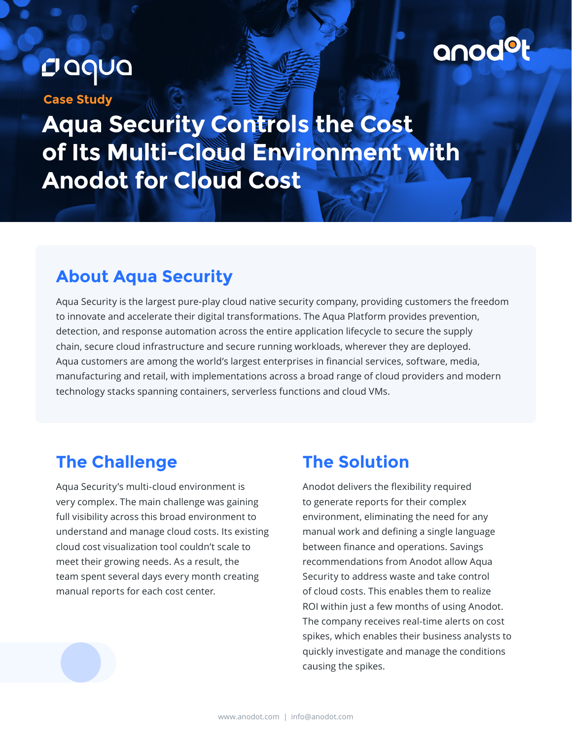# Daqua

**Case Study**

anodol

**Aqua Security Controls the Cost of Its Multi-Cloud Environment with Anodot for Cloud Cost**

#### **About Aqua Security**

Aqua Security is the largest pure-play cloud native security company, providing customers the freedom to innovate and accelerate their digital transformations. The Aqua Platform provides prevention, detection, and response automation across the entire application lifecycle to secure the supply chain, secure cloud infrastructure and secure running workloads, wherever they are deployed. Aqua customers are among the world's largest enterprises in financial services, software, media, manufacturing and retail, with implementations across a broad range of cloud providers and modern technology stacks spanning containers, serverless functions and cloud VMs.

### **The Challenge**

Aqua Security's multi-cloud environment is very complex. The main challenge was gaining full visibility across this broad environment to understand and manage cloud costs. Its existing cloud cost visualization tool couldn't scale to meet their growing needs. As a result, the team spent several days every month creating manual reports for each cost center.

#### **The Solution**

Anodot delivers the flexibility required to generate reports for their complex environment, eliminating the need for any manual work and defining a single language between finance and operations. Savings recommendations from Anodot allow Aqua Security to address waste and take control of cloud costs. This enables them to realize ROI within just a few months of using Anodot. The company receives real-time alerts on cost spikes, which enables their business analysts to quickly investigate and manage the conditions causing the spikes.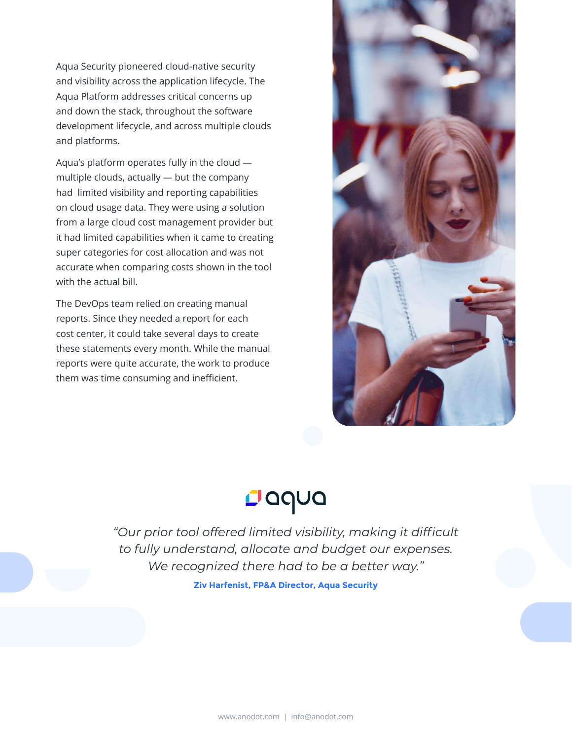Aqua Security pioneered cloud-native security and visibility across the application lifecycle. The Aqua Platform addresses critical concerns up and down the stack, throughout the software development lifecycle, and across multiple clouds and platforms.

Aqua's platform operates fully in the cloud multiple clouds, actually — but the company had limited visibility and reporting capabilities on cloud usage data. They were using a solution from a large cloud cost management provider but it had limited capabilities when it came to creating super categories for cost allocation and was not accurate when comparing costs shown in the tool with the actual bill.

The DevOps team relied on creating manual reports. Since they needed a report for each cost center, it could take several days to create these statements every month. While the manual reports were quite accurate, the work to produce them was time consuming and inefficient.



## Dadna

*"Our prior tool offered limited visibility, making it difficult to fully understand, allocate and budget our expenses. We recognized there had to be a better way."*

**Ziv Harfenist, FP&A Director, Aqua Security**